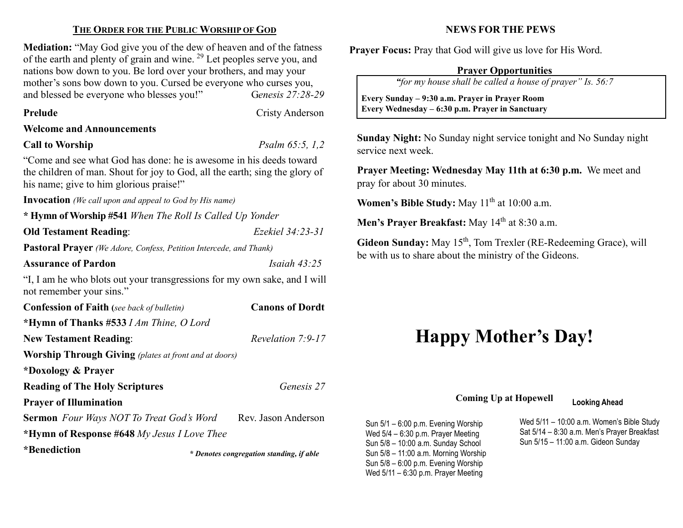## THE ORDER FOR THE PUBLIC WORSHIP OF GOD

Mediation: "May God give you of the dew of heaven and of the fatness of the earth and plenty of grain and wine. <sup>29</sup> Let peoples serve you, and nations bow down to you. Be lord over your brothers, and may your mother's sons bow down to you. Cursed be everyone who curses you, and blessed be everyone who blesses you!" Genesis 27:28-29

#### Prelude Cristy Anderson

Welcome and Announcements

#### Call to Worship  $P_{\text{Salm}}$  65:5, 1,2

 $\overline{\phantom{a}}$ 

"Come and see what God has done: he is awesome in his deeds toward the children of man. Shout for joy to God, all the earth; sing the glory of his name; give to him glorious praise!"

Invocation (We call upon and appeal to God by His name)

\* Hymn of Worship #541 When The Roll Is Called Up Yonder

Old Testament Reading: Ezekiel 34:23-31

Pastoral Prayer (We Adore, Confess, Petition Intercede, and Thank)

Assurance of Pardon Isaiah 43:25

"I, I am he who blots out your transgressions for my own sake, and I will not remember your sins."

Confession of Faith (see back of bulletin) Canons of Dordt \*Hymn of Thanks #533 I Am Thine, O Lord New Testament Reading: Revelation 7:9-17 Worship Through Giving (plates at front and at doors) \*Doxology & Prayer Reading of The Holy Scriptures Genesis 27 Prayer of Illumination Sermon Four Ways NOT To Treat God's Word Rev. Jason Anderson \*Hymn of Response #648 My Jesus I Love Thee \*Benediction \* Denotes congregation standing, if able

## NEWS FOR THE PEWS

Prayer Focus: Pray that God will give us love for His Word.

### Prayer Opportunities

"for my house shall be called a house of prayer" Is. 56:7

 Every Sunday – 9:30 a.m. Prayer in Prayer Room Every Wednesday – 6:30 p.m. Prayer in Sanctuary

Sunday Night: No Sunday night service tonight and No Sunday night service next week.

Prayer Meeting: Wednesday May 11th at 6:30 p.m. We meet and pray for about 30 minutes.

Women's Bible Study: May  $11<sup>th</sup>$  at  $10:00$  a.m.

Men's Prayer Breakfast: May 14<sup>th</sup> at 8:30 a.m.

Gideon Sunday: May 15<sup>th</sup>, Tom Trexler (RE-Redeeming Grace), will be with us to share about the ministry of the Gideons.

# Happy Mother's Day!

## Coming Up at Hopewell Looking Ahead

Sun 5/1 – 6:00 p.m. Evening Worship Wed 5/4 – 6:30 p.m. Prayer Meeting Sun 5/8 – 10:00 a.m. Sunday School Sun 5/8 – 11:00 a.m. Morning Worship Sun 5/8 – 6:00 p.m. Evening Worship Wed 5/11 – 6:30 p.m. Prayer Meeting

Wed 5/11 – 10:00 a.m. Women's Bible Study Sat 5/14 – 8:30 a.m. Men's Prayer Breakfast Sun 5/15 – 11:00 a.m. Gideon Sunday